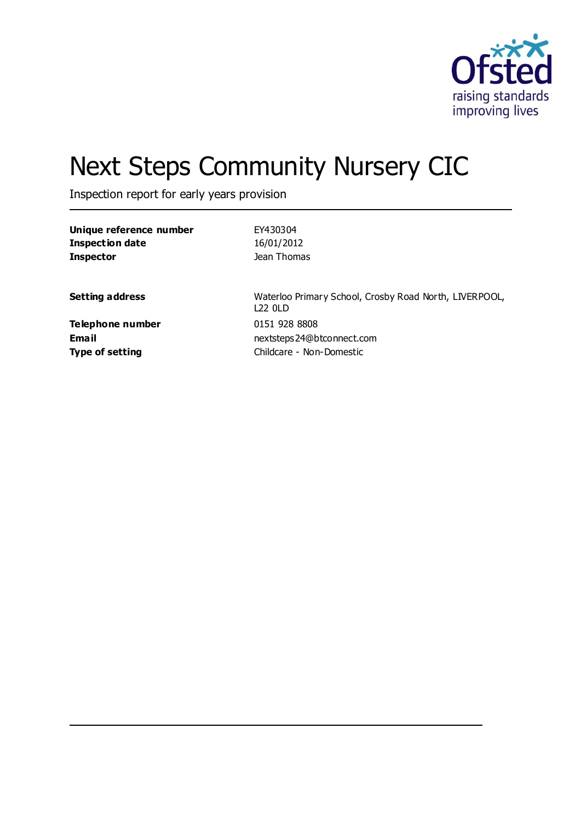

# Next Steps Community Nursery CIC

Inspection report for early years provision

| Unique reference number          | EY430304                                                             |
|----------------------------------|----------------------------------------------------------------------|
| <b>Inspection date</b>           | 16/01/2012                                                           |
| <b>Inspector</b>                 | Jean Thomas                                                          |
| <b>Setting address</b>           | Waterloo Primary School, Crosby Road North, LIVERPOOL,<br>$122$ 01 D |
| Telephone number<br><b>Email</b> | 0151 928 8808<br>nextsteps24@btconnect.com                           |
| <b>Type of setting</b>           | Childcare - Non-Domestic                                             |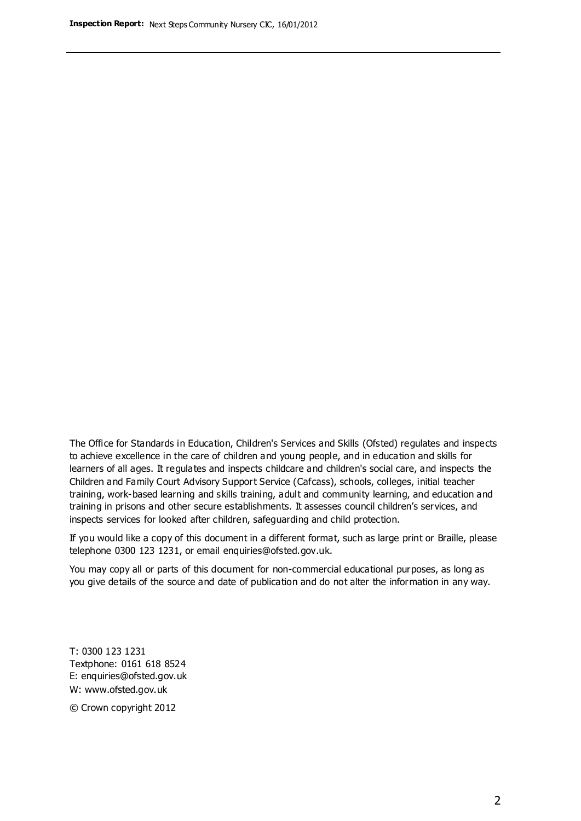The Office for Standards in Education, Children's Services and Skills (Ofsted) regulates and inspects to achieve excellence in the care of children and young people, and in education and skills for learners of all ages. It regulates and inspects childcare and children's social care, and inspects the Children and Family Court Advisory Support Service (Cafcass), schools, colleges, initial teacher training, work-based learning and skills training, adult and community learning, and education and training in prisons and other secure establishments. It assesses council children's services, and inspects services for looked after children, safeguarding and child protection.

If you would like a copy of this document in a different format, such as large print or Braille, please telephone 0300 123 1231, or email enquiries@ofsted.gov.uk.

You may copy all or parts of this document for non-commercial educational purposes, as long as you give details of the source and date of publication and do not alter the information in any way.

T: 0300 123 1231 Textphone: 0161 618 8524 E: enquiries@ofsted.gov.uk W: [www.ofsted.gov.uk](http://www.ofsted.gov.uk/)

© Crown copyright 2012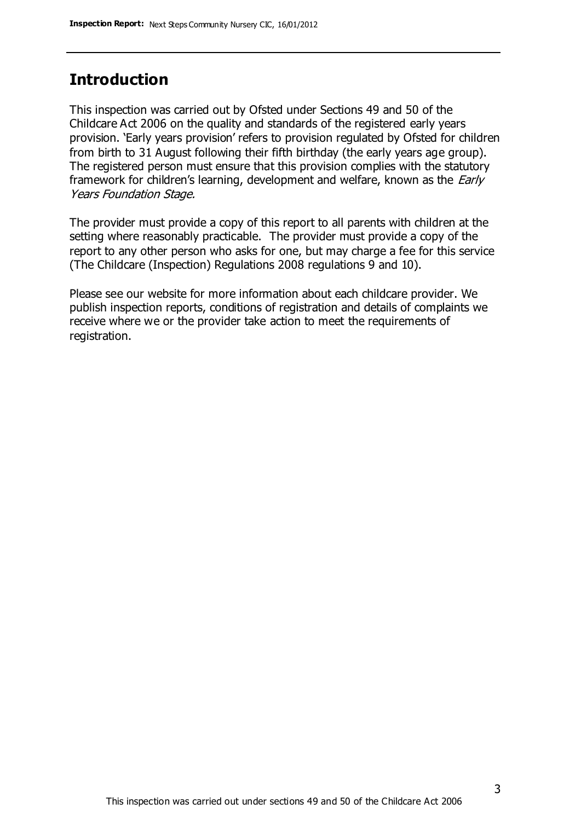## **Introduction**

This inspection was carried out by Ofsted under Sections 49 and 50 of the Childcare Act 2006 on the quality and standards of the registered early years provision. 'Early years provision' refers to provision regulated by Ofsted for children from birth to 31 August following their fifth birthday (the early years age group). The registered person must ensure that this provision complies with the statutory framework for children's learning, development and welfare, known as the *Early* Years Foundation Stage.

The provider must provide a copy of this report to all parents with children at the setting where reasonably practicable. The provider must provide a copy of the report to any other person who asks for one, but may charge a fee for this service (The Childcare (Inspection) Regulations 2008 regulations 9 and 10).

Please see our website for more information about each childcare provider. We publish inspection reports, conditions of registration and details of complaints we receive where we or the provider take action to meet the requirements of registration.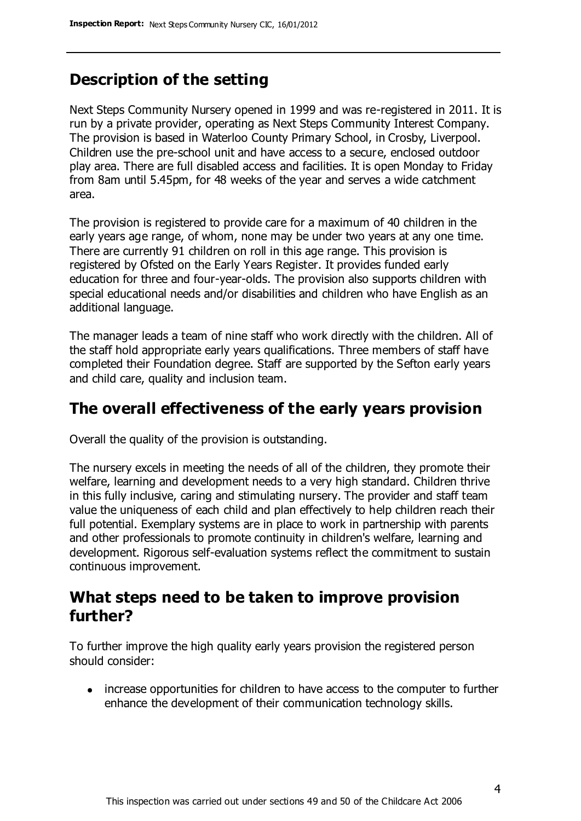## **Description of the setting**

Next Steps Community Nursery opened in 1999 and was re-registered in 2011. It is run by a private provider, operating as Next Steps Community Interest Company. The provision is based in Waterloo County Primary School, in Crosby, Liverpool. Children use the pre-school unit and have access to a secure, enclosed outdoor play area. There are full disabled access and facilities. It is open Monday to Friday from 8am until 5.45pm, for 48 weeks of the year and serves a wide catchment area.

The provision is registered to provide care for a maximum of 40 children in the early years age range, of whom, none may be under two years at any one time. There are currently 91 children on roll in this age range. This provision is registered by Ofsted on the Early Years Register. It provides funded early education for three and four-year-olds. The provision also supports children with special educational needs and/or disabilities and children who have English as an additional language.

The manager leads a team of nine staff who work directly with the children. All of the staff hold appropriate early years qualifications. Three members of staff have completed their Foundation degree. Staff are supported by the Sefton early years and child care, quality and inclusion team.

### **The overall effectiveness of the early years provision**

Overall the quality of the provision is outstanding.

The nursery excels in meeting the needs of all of the children, they promote their welfare, learning and development needs to a very high standard. Children thrive in this fully inclusive, caring and stimulating nursery. The provider and staff team value the uniqueness of each child and plan effectively to help children reach their full potential. Exemplary systems are in place to work in partnership with parents and other professionals to promote continuity in children's welfare, learning and development. Rigorous self-evaluation systems reflect the commitment to sustain continuous improvement.

#### **What steps need to be taken to improve provision further?**

To further improve the high quality early years provision the registered person should consider:

• increase opportunities for children to have access to the computer to further enhance the development of their communication technology skills.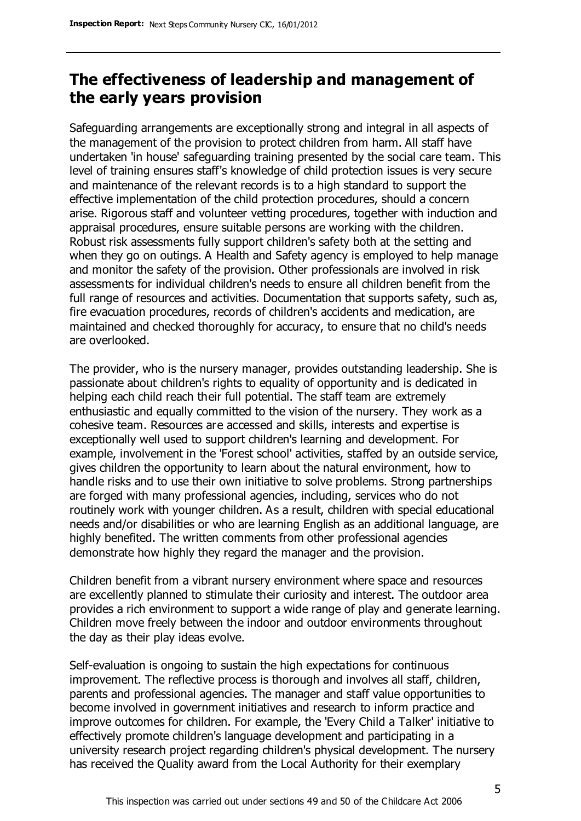## **The effectiveness of leadership and management of the early years provision**

Safeguarding arrangements are exceptionally strong and integral in all aspects of the management of the provision to protect children from harm. All staff have undertaken 'in house' safeguarding training presented by the social care team. This level of training ensures staff's knowledge of child protection issues is very secure and maintenance of the relevant records is to a high standard to support the effective implementation of the child protection procedures, should a concern arise. Rigorous staff and volunteer vetting procedures, together with induction and appraisal procedures, ensure suitable persons are working with the children. Robust risk assessments fully support children's safety both at the setting and when they go on outings. A Health and Safety agency is employed to help manage and monitor the safety of the provision. Other professionals are involved in risk assessments for individual children's needs to ensure all children benefit from the full range of resources and activities. Documentation that supports safety, such as, fire evacuation procedures, records of children's accidents and medication, are maintained and checked thoroughly for accuracy, to ensure that no child's needs are overlooked.

The provider, who is the nursery manager, provides outstanding leadership. She is passionate about children's rights to equality of opportunity and is dedicated in helping each child reach their full potential. The staff team are extremely enthusiastic and equally committed to the vision of the nursery. They work as a cohesive team. Resources are accessed and skills, interests and expertise is exceptionally well used to support children's learning and development. For example, involvement in the 'Forest school' activities, staffed by an outside service, gives children the opportunity to learn about the natural environment, how to handle risks and to use their own initiative to solve problems. Strong partnerships are forged with many professional agencies, including, services who do not routinely work with younger children. As a result, children with special educational needs and/or disabilities or who are learning English as an additional language, are highly benefited. The written comments from other professional agencies demonstrate how highly they regard the manager and the provision.

Children benefit from a vibrant nursery environment where space and resources are excellently planned to stimulate their curiosity and interest. The outdoor area provides a rich environment to support a wide range of play and generate learning. Children move freely between the indoor and outdoor environments throughout the day as their play ideas evolve.

Self-evaluation is ongoing to sustain the high expectations for continuous improvement. The reflective process is thorough and involves all staff, children, parents and professional agencies. The manager and staff value opportunities to become involved in government initiatives and research to inform practice and improve outcomes for children. For example, the 'Every Child a Talker' initiative to effectively promote children's language development and participating in a university research project regarding children's physical development. The nursery has received the Quality award from the Local Authority for their exemplary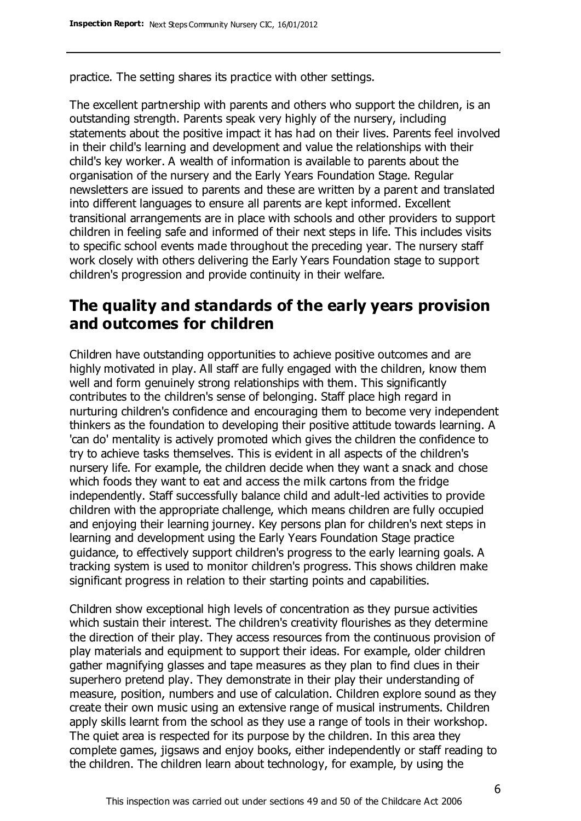practice. The setting shares its practice with other settings.

The excellent partnership with parents and others who support the children, is an outstanding strength. Parents speak very highly of the nursery, including statements about the positive impact it has had on their lives. Parents feel involved in their child's learning and development and value the relationships with their child's key worker. A wealth of information is available to parents about the organisation of the nursery and the Early Years Foundation Stage. Regular newsletters are issued to parents and these are written by a parent and translated into different languages to ensure all parents are kept informed. Excellent transitional arrangements are in place with schools and other providers to support children in feeling safe and informed of their next steps in life. This includes visits to specific school events made throughout the preceding year. The nursery staff work closely with others delivering the Early Years Foundation stage to support children's progression and provide continuity in their welfare.

### **The quality and standards of the early years provision and outcomes for children**

Children have outstanding opportunities to achieve positive outcomes and are highly motivated in play. All staff are fully engaged with the children, know them well and form genuinely strong relationships with them. This significantly contributes to the children's sense of belonging. Staff place high regard in nurturing children's confidence and encouraging them to become very independent thinkers as the foundation to developing their positive attitude towards learning. A 'can do' mentality is actively promoted which gives the children the confidence to try to achieve tasks themselves. This is evident in all aspects of the children's nursery life. For example, the children decide when they want a snack and chose which foods they want to eat and access the milk cartons from the fridge independently. Staff successfully balance child and adult-led activities to provide children with the appropriate challenge, which means children are fully occupied and enjoying their learning journey. Key persons plan for children's next steps in learning and development using the Early Years Foundation Stage practice guidance, to effectively support children's progress to the early learning goals. A tracking system is used to monitor children's progress. This shows children make significant progress in relation to their starting points and capabilities.

Children show exceptional high levels of concentration as they pursue activities which sustain their interest. The children's creativity flourishes as they determine the direction of their play. They access resources from the continuous provision of play materials and equipment to support their ideas. For example, older children gather magnifying glasses and tape measures as they plan to find clues in their superhero pretend play. They demonstrate in their play their understanding of measure, position, numbers and use of calculation. Children explore sound as they create their own music using an extensive range of musical instruments. Children apply skills learnt from the school as they use a range of tools in their workshop. The quiet area is respected for its purpose by the children. In this area they complete games, jigsaws and enjoy books, either independently or staff reading to the children. The children learn about technology, for example, by using the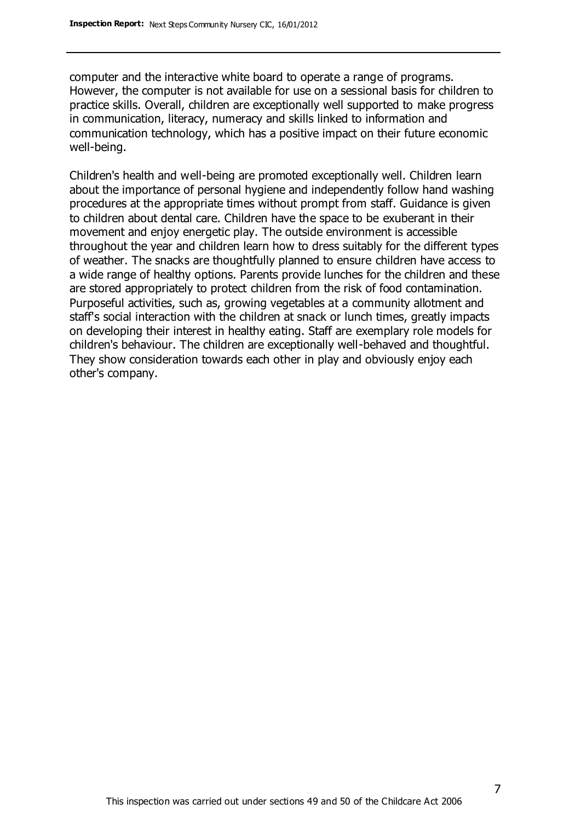computer and the interactive white board to operate a range of programs. However, the computer is not available for use on a sessional basis for children to practice skills. Overall, children are exceptionally well supported to make progress in communication, literacy, numeracy and skills linked to information and communication technology, which has a positive impact on their future economic well-being.

Children's health and well-being are promoted exceptionally well. Children learn about the importance of personal hygiene and independently follow hand washing procedures at the appropriate times without prompt from staff. Guidance is given to children about dental care. Children have the space to be exuberant in their movement and enjoy energetic play. The outside environment is accessible throughout the year and children learn how to dress suitably for the different types of weather. The snacks are thoughtfully planned to ensure children have access to a wide range of healthy options. Parents provide lunches for the children and these are stored appropriately to protect children from the risk of food contamination. Purposeful activities, such as, growing vegetables at a community allotment and staff's social interaction with the children at snack or lunch times, greatly impacts on developing their interest in healthy eating. Staff are exemplary role models for children's behaviour. The children are exceptionally well-behaved and thoughtful. They show consideration towards each other in play and obviously enjoy each other's company.